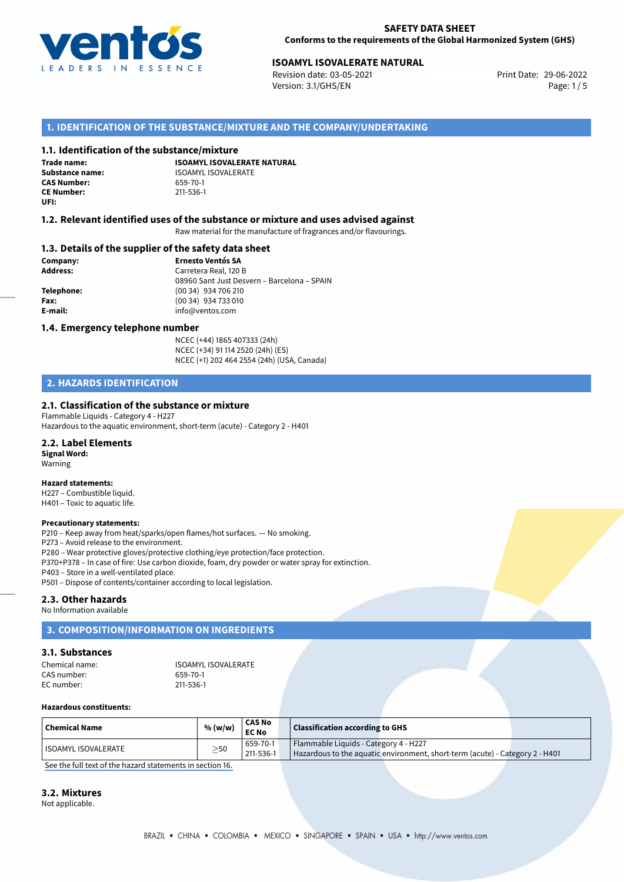

# **ISOAMYL ISOVALERATE NATURAL**<br> **29-06-2022 Revision date: 03-05-2021**<br> **Print Date: 29-06-2022**

Revision date: 03-05-2021 Version: 3.1/GHS/EN Page: 1 / 5

## **1. IDENTIFICATION OF THE SUBSTANCE/MIXTURE AND THE COMPANY/UNDERTAKING**

### **1.1. Identification of the substance/mixture**

**Trade name: CAS Number: CE Number:** 211-536-1 **UFI:**

**ISOAMYL ISOVALERATE NATURAL Substance name:** ISOAMYL ISOVALERATE<br> **CAS Number:** 659-70-1

## **1.2. Relevant identified uses of the substance or mixture and uses advised against**

Raw material for the manufacture of fragrances and/or flavourings.

#### **1.3. Details of the supplier of the safety data sheet**

**Company: Ernesto Ventós SA Address:** Carretera Real, 120 B 08960 Sant Just Desvern – Barcelona – SPAIN **Telephone:** (00 34) 934 706 210 **Fax:** (00 34) 934 733 010 **E-mail:** info@ventos.com

#### **1.4. Emergency telephone number**

NCEC (+44) 1865 407333 (24h) NCEC (+34) 91 114 2520 (24h) (ES) NCEC (+1) 202 464 2554 (24h) (USA, Canada)

## **2. HAZARDS IDENTIFICATION**

## **2.1. Classification of the substance or mixture**

Flammable Liquids - Category 4 - H227 Hazardous to the aquatic environment, short-term (acute) - Category 2 - H401

### **2.2. Label Elements**

**Signal Word:** Warning

#### **Hazard statements:**

H227 – Combustible liquid. H401 – Toxic to aquatic life.

#### **Precautionary statements:**

P210 – Keep away from heat/sparks/open flames/hot surfaces. — No smoking.

P273 – Avoid release to the environment.

P280 – Wear protective gloves/protective clothing/eye protection/face protection.

P370+P378 – In case of fire: Use carbon dioxide, foam, dry powder or water spray for extinction.

P403 – Store in a well-ventilated place.

P501 – Dispose of contents/container according to local legislation.

## **2.3. Other hazards**

No Information available

## **3. COMPOSITION/INFORMATION ON INGREDIENTS**

#### **3.1. Substances**

| Chemical name: | <b>ISOAMYL ISOVALERATE</b> |
|----------------|----------------------------|
| CAS number:    | 659-70-1                   |
| EC number:     | 211-536-1                  |

#### **Hazardous constituents:**

| <b>Chemical Name</b>  | % (w/w)   | <b>CAS No</b><br><b>EC No</b> |                                                                                                                       | <b>Classification according to GHS</b> |
|-----------------------|-----------|-------------------------------|-----------------------------------------------------------------------------------------------------------------------|----------------------------------------|
| l ISOAMYL ISOVALERATE | $\geq$ 50 | 659-70-1<br>211-536-1         | Flammable Liquids - Category 4 - H227<br>Hazardous to the aquatic environment, short-term (acute) - Category 2 - H401 |                                        |

[See the full text of the hazard statements in section 16.](#page--1-0)

#### **3.2. Mixtures**

Not applicable.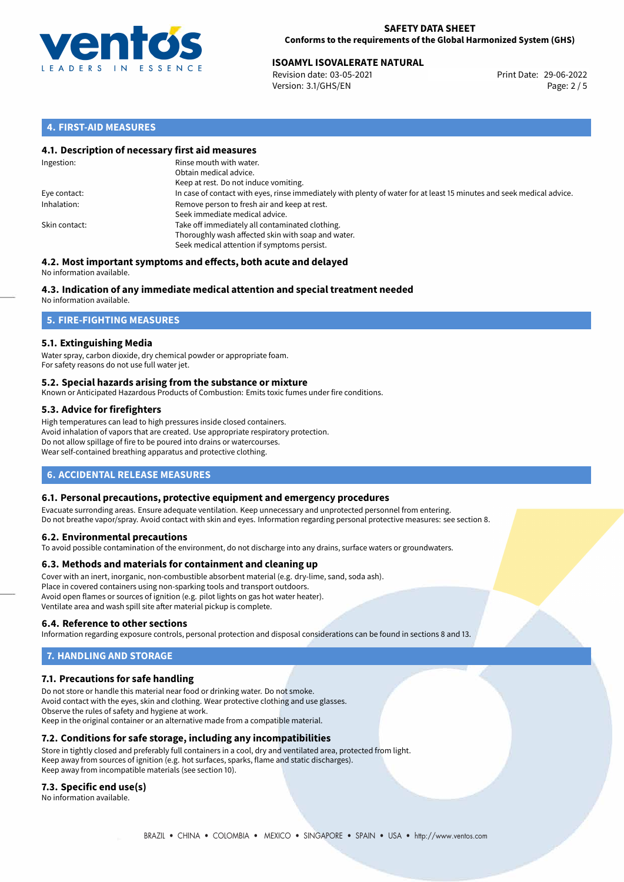

#### **SAFETY DATA SHEET Conforms to the requirements of the Global Harmonized System (GHS)**

# **ISOAMYL ISOVALERATE NATURAL**<br> **29-06-2022 Revision date: 03-05-2021**<br> **Print Date: 29-06-2022**

Revision date: 03-05-2021 Version: 3.1/GHS/EN Page: 2 / 5

## **4. FIRST-AID MEASURES**

## **4.1. Description of necessary first aid measures**

| Ingestion:    | Rinse mouth with water.<br>Obtain medical advice.<br>Keep at rest. Do not induce vomiting.                                                           |
|---------------|------------------------------------------------------------------------------------------------------------------------------------------------------|
| Eye contact:  | In case of contact with eyes, rinse immediately with plenty of water for at least 15 minutes and seek medical advice.                                |
| Inhalation:   | Remove person to fresh air and keep at rest.<br>Seek immediate medical advice.                                                                       |
| Skin contact: | Take off immediately all contaminated clothing.<br>Thoroughly wash affected skin with soap and water.<br>Seek medical attention if symptoms persist. |

#### **4.2. Most important symptoms and effects, both acute and delayed** No information available.

## **4.3. Indication of any immediate medical attention and special treatment needed**

No information available.

## **5. FIRE-FIGHTING MEASURES**

## **5.1. Extinguishing Media**

Water spray, carbon dioxide, dry chemical powder or appropriate foam. For safety reasons do not use full water jet.

## **5.2. Special hazards arising from the substance or mixture**

Known or Anticipated Hazardous Products of Combustion: Emits toxic fumes under fire conditions.

## **5.3. Advice for firefighters**

High temperatures can lead to high pressures inside closed containers. Avoid inhalation of vapors that are created. Use appropriate respiratory protection. Do not allow spillage of fire to be poured into drains or watercourses. Wear self-contained breathing apparatus and protective clothing.

## **6. ACCIDENTAL RELEASE MEASURES**

## **6.1. Personal precautions, protective equipment and emergency procedures**

Evacuate surronding areas. Ensure adequate ventilation. Keep unnecessary and unprotected personnel from entering. Do not breathe vapor/spray. Avoid contact with skin and eyes. Information regarding personal protective measures: see section 8.

## **6.2. Environmental precautions**

To avoid possible contamination of the environment, do not discharge into any drains, surface waters or groundwaters.

## **6.3. Methods and materials for containment and cleaning up**

Cover with an inert, inorganic, non-combustible absorbent material (e.g. dry-lime, sand, soda ash). Place in covered containers using non-sparking tools and transport outdoors. Avoid open flames or sources of ignition (e.g. pilot lights on gas hot water heater). Ventilate area and wash spill site after material pickup is complete.

## **6.4. Reference to other sections**

Information regarding exposure controls, personal protection and disposal considerations can be found in sections 8 and 13.

## **7. HANDLING AND STORAGE**

## **7.1. Precautions for safe handling**

Do not store or handle this material near food or drinking water. Do not smoke. Avoid contact with the eyes, skin and clothing. Wear protective clothing and use glasses. Observe the rules of safety and hygiene at work. Keep in the original container or an alternative made from a compatible material.

## **7.2. Conditions for safe storage, including any incompatibilities**

Store in tightly closed and preferably full containers in a cool, dry and ventilated area, protected from light. Keep away from sources of ignition (e.g. hot surfaces, sparks, flame and static discharges). Keep away from incompatible materials (see section 10).

## **7.3. Specific end use(s)**

No information available.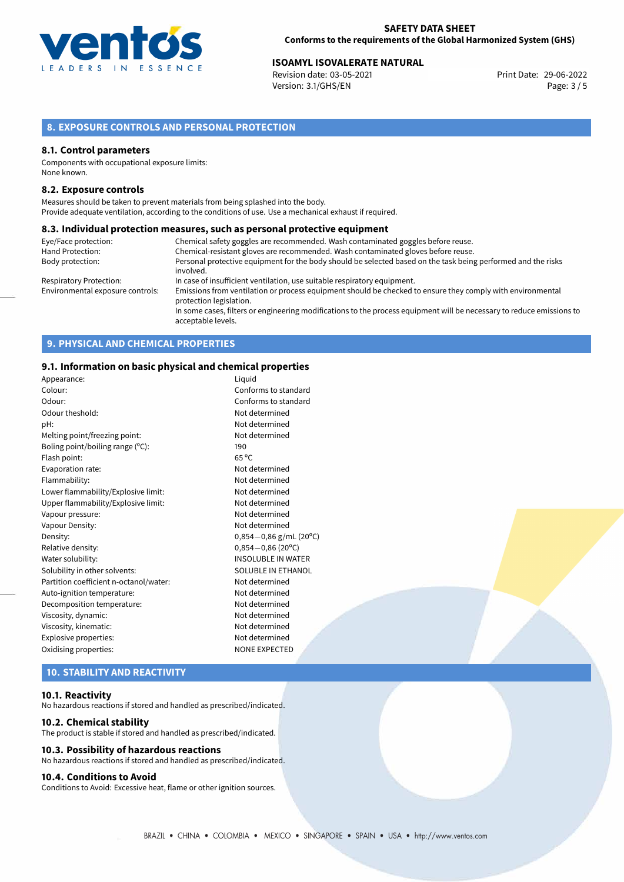

# **ISOAMYL ISOVALERATE NATURAL**<br> **Revision date: 03-05-2021** Print Date: 29-06-2022

Revision date: 03-05-2021 Version: 3.1/GHS/EN Page: 3 / 5

## **8. EXPOSURE CONTROLS AND PERSONAL PROTECTION**

### **8.1. Control parameters**

Components with occupational exposure limits: None known.

#### **8.2. Exposure controls**

Measures should be taken to prevent materials from being splashed into the body. Provide adequate ventilation, according to the conditions of use. Use a mechanical exhaust if required.

#### **8.3. Individual protection measures, such as personal protective equipment**

| Eye/Face protection:             | Chemical safety goggles are recommended. Wash contaminated goggles before reuse.                                                            |  |
|----------------------------------|---------------------------------------------------------------------------------------------------------------------------------------------|--|
| Hand Protection:                 | Chemical-resistant gloves are recommended. Wash contaminated gloves before reuse.                                                           |  |
| Body protection:                 | Personal protective equipment for the body should be selected based on the task being performed and the risks                               |  |
|                                  | involved.                                                                                                                                   |  |
| Respiratory Protection:          | In case of insufficient ventilation, use suitable respiratory equipment.                                                                    |  |
| Environmental exposure controls: | Emissions from ventilation or process equipment should be checked to ensure they comply with environmental<br>protection legislation.       |  |
|                                  | In some cases, filters or engineering modifications to the process equipment will be necessary to reduce emissions to<br>acceptable levels. |  |

## **9. PHYSICAL AND CHEMICAL PROPERTIES**

## **9.1. Information on basic physical and chemical properties**

| Appearance:                            | Liguid                      |
|----------------------------------------|-----------------------------|
| Colour:                                | Conforms to standard        |
| Odour:                                 | Conforms to standard        |
| Odour theshold:                        | Not determined              |
| pH:                                    | Not determined              |
| Melting point/freezing point:          | Not determined              |
| Boling point/boiling range (°C):       | 190                         |
| Flash point:                           | $65^{\circ}$ C              |
| Evaporation rate:                      | Not determined              |
| Flammability:                          | Not determined              |
| Lower flammability/Explosive limit:    | Not determined              |
| Upper flammability/Explosive limit:    | Not determined              |
| Vapour pressure:                       | Not determined              |
| Vapour Density:                        | Not determined              |
| Density:                               | $0,854-0,86$ g/mL (20°C)    |
| Relative density:                      | $0,854 - 0,86(20^{\circ}C)$ |
| Water solubility:                      | <b>INSOLUBLE IN WATER</b>   |
| Solubility in other solvents:          | SOLUBLE IN ETHANOL          |
| Partition coefficient n-octanol/water: | Not determined              |
| Auto-ignition temperature:             | Not determined              |
| Decomposition temperature:             | Not determined              |
| Viscosity, dynamic:                    | Not determined              |
| Viscosity, kinematic:                  | Not determined              |
| Explosive properties:                  | Not determined              |
| Oxidising properties:                  | <b>NONE EXPECTED</b>        |
|                                        |                             |

## **10. STABILITY AND REACTIVITY**

### **10.1. Reactivity**

No hazardous reactions if stored and handled as prescribed/indicated.

#### **10.2. Chemical stability**

The product is stable if stored and handled as prescribed/indicated.

### **10.3. Possibility of hazardous reactions**

No hazardous reactions if stored and handled as prescribed/indicated.

## **10.4. Conditions to Avoid**

Conditions to Avoid: Excessive heat, flame or other ignition sources.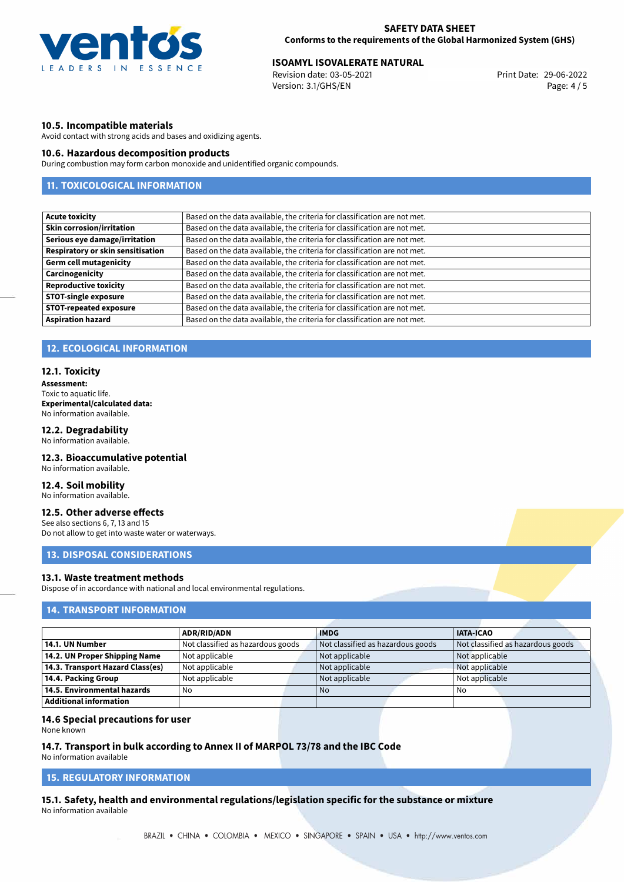

# **ISOAMYL ISOVALERATE NATURAL**<br> **29-06-2022 Print Date: 29-06-2022 Print Date: 29-06-2022**

Revision date: 03-05-2021 Version: 3.1/GHS/EN Page: 4 / 5

## **10.5. Incompatible materials**

Avoid contact with strong acids and bases and oxidizing agents.

## **10.6. Hazardous decomposition products**

During combustion may form carbon monoxide and unidentified organic compounds.

## **11. TOXICOLOGICAL INFORMATION**

| Based on the data available, the criteria for classification are not met. |
|---------------------------------------------------------------------------|
| Based on the data available, the criteria for classification are not met. |
| Based on the data available, the criteria for classification are not met. |
| Based on the data available, the criteria for classification are not met. |
| Based on the data available, the criteria for classification are not met. |
| Based on the data available, the criteria for classification are not met. |
| Based on the data available, the criteria for classification are not met. |
| Based on the data available, the criteria for classification are not met. |
| Based on the data available, the criteria for classification are not met. |
| Based on the data available, the criteria for classification are not met. |
|                                                                           |

## **12. ECOLOGICAL INFORMATION**

#### **12.1. Toxicity**

**Assessment:** Toxic to aquatic life. **Experimental/calculated data:** No information available.

## **12.2. Degradability**

No information available.

## **12.3. Bioaccumulative potential**

No information available.

## **12.4. Soil mobility**

No information available.

## **12.5. Other adverse effects**

See also sections 6, 7, 13 and 15 Do not allow to get into waste water or waterways.

## **13. DISPOSAL CONSIDERATIONS**

## **13.1. Waste treatment methods**

Dispose of in accordance with national and local environmental regulations.

## **14. TRANSPORT INFORMATION**

|                                    | <b>ADR/RID/ADN</b>                | <b>IMDG</b>                       | <b>IATA-ICAO</b>                  |
|------------------------------------|-----------------------------------|-----------------------------------|-----------------------------------|
| 14.1. UN Number                    | Not classified as hazardous goods | Not classified as hazardous goods | Not classified as hazardous goods |
| 14.2. UN Proper Shipping Name      | Not applicable                    | Not applicable                    | Not applicable                    |
| 14.3. Transport Hazard Class(es)   | Not applicable                    | Not applicable                    | Not applicable                    |
| 14.4. Packing Group                | Not applicable                    | Not applicable                    | Not applicable                    |
| $\mid$ 14.5. Environmental hazards | No                                | <b>No</b>                         | No                                |
| Additional information             |                                   |                                   |                                   |

#### **14.6 Special precautions for user**

None known

#### **14.7. Transport in bulk according to Annex II of MARPOL 73/78 and the IBC Code**

No information available

## **15. REGULATORY INFORMATION**

**15.1. Safety, health and environmental regulations/legislation specific for the substance or mixture** No information available